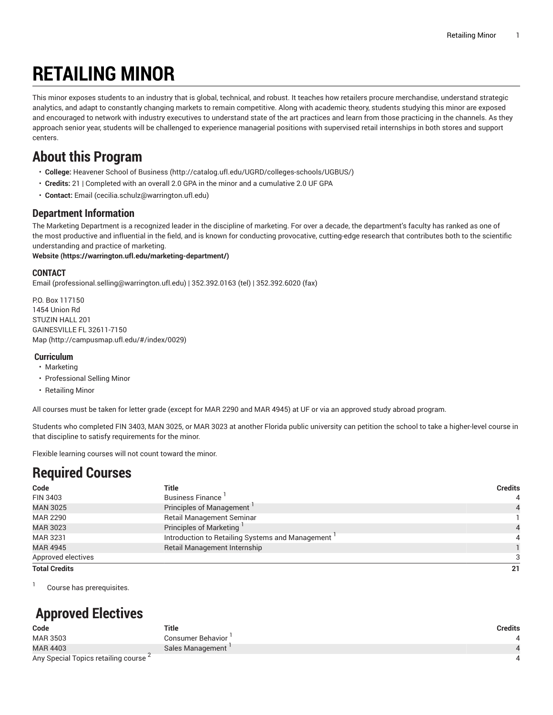# **RETAILING MINOR**

This minor exposes students to an industry that is global, technical, and robust. It teaches how retailers procure merchandise, understand strategic analytics, and adapt to constantly changing markets to remain competitive. Along with academic theory, students studying this minor are exposed and encouraged to network with industry executives to understand state of the art practices and learn from those practicing in the channels. As they approach senior year, students will be challenged to experience managerial positions with supervised retail internships in both stores and support centers.

### **About this Program**

- **College:** [Heavener](http://catalog.ufl.edu/UGRD/colleges-schools/UGBUS/) School of Business (<http://catalog.ufl.edu/UGRD/colleges-schools/UGBUS/>)
- **Credits:** 21 | Completed with an overall 2.0 GPA in the minor and a cumulative 2.0 UF GPA
- **Contact:** [Email](mailto:cecilia.schulz@warrington.ufl.edu) [\(cecilia.schulz@warrington.ufl.edu\)](cecilia.schulz@warrington.ufl.edu)

### **Department Information**

The Marketing Department is a recognized leader in the discipline of marketing. For over a decade, the department's faculty has ranked as one of the most productive and influential in the field, and is known for conducting provocative, cutting-edge research that contributes both to the scientific understanding and practice of marketing.

**[Website](https://warrington.ufl.edu/marketing-department/) (<https://warrington.ufl.edu/marketing-department/>)**

#### **CONTACT**

[Email](mailto:professional.selling@warrington.ufl.edu) ([professional.selling@warrington.ufl.edu\)](professional.selling@warrington.ufl.edu) | 352.392.0163 (tel) | 352.392.6020 (fax)

P.O. Box 117150 1454 Union Rd STUZIN HALL 201 GAINESVILLE FL 32611-7150 [Map](http://campusmap.ufl.edu/#/index/0029) ([http://campusmap.ufl.edu/#/index/0029\)](http://campusmap.ufl.edu/#/index/0029)

#### **Curriculum**

- Marketing
- Professional Selling Minor
- Retailing Minor

All courses must be taken for letter grade (except for MAR 2290 and MAR 4945) at UF or via an approved study abroad program.

Students who completed FIN 3403, MAN 3025, or MAR 3023 at another Florida public university can petition the school to take a higher-level course in that discipline to satisfy requirements for the minor.

Flexible learning courses will not count toward the minor.

### **Required Courses**

| Code                 | Title                                            | <b>Credits</b> |
|----------------------|--------------------------------------------------|----------------|
| FIN 3403             | <b>Business Finance</b>                          | 4              |
| <b>MAN 3025</b>      | Principles of Management                         |                |
| <b>MAR 2290</b>      | <b>Retail Management Seminar</b>                 |                |
| MAR 3023             | Principles of Marketing                          |                |
| MAR 3231             | Introduction to Retailing Systems and Management |                |
| MAR 4945             | Retail Management Internship                     |                |
| Approved electives   |                                                  |                |
| <b>Total Credits</b> |                                                  | 21             |

1 Course has prerequisites.

## **Approved Electives**

| Code                                             | Title             | Credits |
|--------------------------------------------------|-------------------|---------|
| MAR 3503                                         | Consumer Behavior |         |
| MAR 4403                                         | Sales Management  |         |
| Any Special Topics retailing course <sup>2</sup> |                   |         |